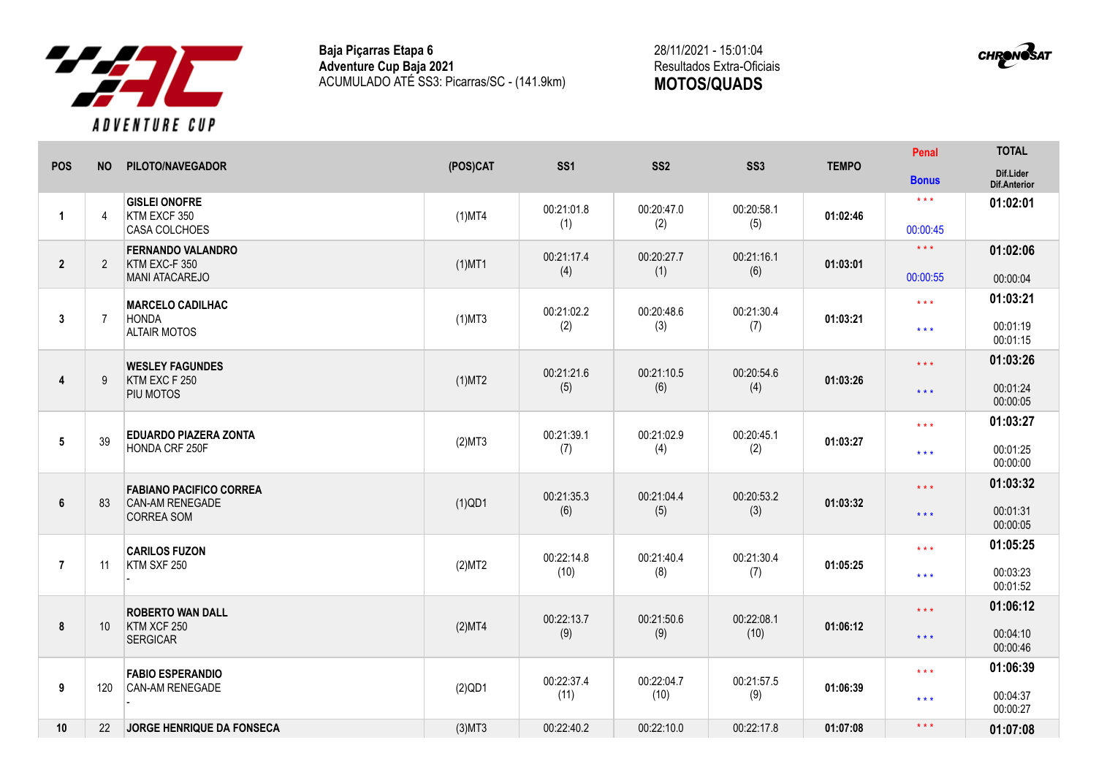

**Baja Piçarras Etapa 6 Adventure Cup Baja 2021** ACUMULADO ATÉ SS3: Picarras/SC - (141.9km)

28/11/2021 - 15:01:04 Resultados Extra-Oficiais **MOTOS/QUADS**



|                |                 | PILOTO/NAVEGADOR                     |           |                   |                   | SS <sub>3</sub>   | <b>TEMPO</b> | Penal                   | <b>TOTAL</b>              |
|----------------|-----------------|--------------------------------------|-----------|-------------------|-------------------|-------------------|--------------|-------------------------|---------------------------|
| <b>POS</b>     | <b>NO</b>       |                                      | (POS)CAT  | SS <sub>1</sub>   | SS <sub>2</sub>   |                   |              | <b>Bonus</b>            | Dif.Lider<br>Dif.Anterior |
|                |                 | <b>GISLEI ONOFRE</b>                 |           | 00:21:01.8        | 00:20:47.0        | 00:20:58.1        |              | $\star$ $\star$ $\star$ | 01:02:01                  |
| $\overline{1}$ | $\overline{4}$  | KTM EXCF 350<br>CASA COLCHOES        | $(1)$ MT4 | (1)               | (2)               | (5)               | 01:02:46     | 00:00:45                |                           |
|                |                 | <b>FERNANDO VALANDRO</b>             |           | 00:21:17.4        | 00:20:27.7        | 00:21:16.1        |              | $\star \star \star$     | 01:02:06                  |
| $\mathbf{2}$   | $\overline{2}$  | KTM EXC-F 350<br>MANI ATACAREJO      | $(1)$ MT1 | (4)               | (1)               | (6)               | 01:03:01     | 00:00:55                | 00:00:04                  |
|                |                 | <b>MARCELO CADILHAC</b>              |           |                   |                   |                   |              | $\star\star\star$       | 01:03:21                  |
| 3              | $\overline{7}$  | <b>HONDA</b><br><b>ALTAIR MOTOS</b>  | $(1)$ MT3 | 00:21:02.2<br>(2) | 00:20:48.6<br>(3) | 00:21:30.4<br>(7) | 01:03:21     | $\star\star\star$       | 00:01:19<br>00:01:15      |
|                |                 | <b>WESLEY FAGUNDES</b>               |           | 00:21:21.6        | 00:21:10.5        | 00:20:54.6        |              | $***$                   | 01:03:26                  |
| 4              | 9               | KTM EXC F 250<br>PIU MOTOS           | $(1)$ MT2 | (5)               | (6)               | (4)               | 01:03:26     | $***$                   | 00:01:24<br>00:00:05      |
|                |                 | <b>EDUARDO PIAZERA ZONTA</b>         |           | 00:21:39.1        | 00:21:02.9        | 00:20:45.1        |              | $\star\star\star$       | 01:03:27                  |
| 5              | 39              | HONDA CRF 250F                       | (2)MT3    | (7)               | (4)               | (2)               | 01:03:27     | $***$                   | 00:01:25<br>00:00:00      |
|                |                 | <b>FABIANO PACIFICO CORREA</b>       |           | 00:21:35.3        | 00:21:04.4        | 00:20:53.2        |              | $***$                   | 01:03:32                  |
| 6              | 83              | CAN-AM RENEGADE<br><b>CORREA SOM</b> | $(1)$ QD1 | (6)               | (5)               | (3)               | 01:03:32     | $***$                   | 00:01:31<br>00:00:05      |
|                |                 | <b>CARILOS FUZON</b>                 |           | 00:22:14.8        | 00:21:40.4        | 00:21:30.4        |              | $\star \star \star$     | 01:05:25                  |
| $\overline{7}$ | 11              | KTM SXF 250                          | (2)MT2    | (10)              | (8)               | (7)               | 01:05:25     | $***$                   | 00:03:23<br>00:01:52      |
|                |                 | <b>ROBERTO WAN DALL</b>              |           | 00:22:13.7        | 00:21:50.6        | 00:22:08.1        |              | $\star$ $\star$ $\star$ | 01:06:12                  |
| 8              | 10 <sup>°</sup> | KTM XCF 250<br><b>SERGICAR</b>       | (2)MT4    | (9)               | (9)               | (10)              | 01:06:12     | $***$                   | 00:04:10<br>00:00:46      |
|                |                 | <b>FABIO ESPERANDIO</b>              |           | 00:22:37.4        | 00:22:04.7        | 00:21:57.5        |              | $\star\star\star$       | 01:06:39                  |
| 9              | 120             | <b>CAN-AM RENEGADE</b>               | $(2)$ QD1 | (11)              | (10)              | (9)               | 01:06:39     | $\star\star\star$       | 00:04:37<br>00:00:27      |
| 10             | 22              | JORGE HENRIQUE DA FONSECA            | $(3)$ MT3 | 00:22:40.2        | 00:22:10.0        | 00:22:17.8        | 01:07:08     | $* * *$                 | 01:07:08                  |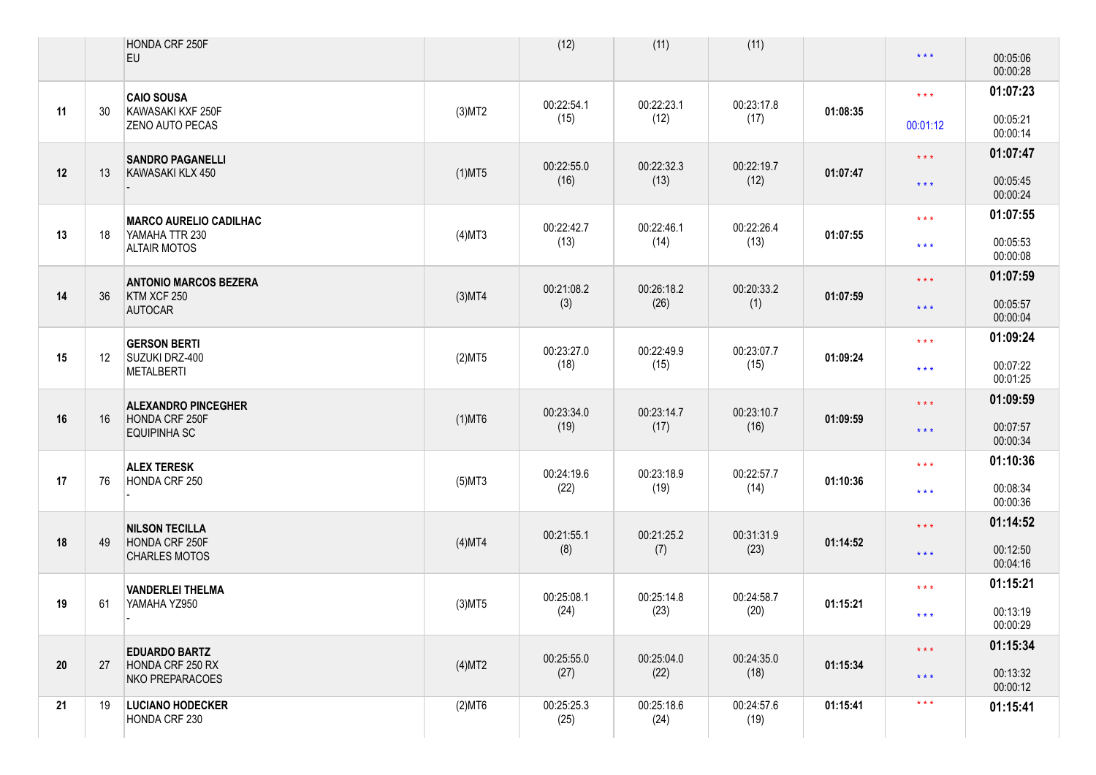|    |    | HONDA CRF 250F<br><b>EU</b>                 |           | (12)               | (11)               | (11)               |          | $\star$ $\star$ $\star$ | 00:05:06<br>00:00:28 |
|----|----|---------------------------------------------|-----------|--------------------|--------------------|--------------------|----------|-------------------------|----------------------|
|    |    | <b>CAIO SOUSA</b>                           |           | 00:22:54.1         | 00:22:23.1         | 00:23:17.8         |          | $\star\star\star$       | 01:07:23             |
| 11 | 30 | KAWASAKI KXF 250F<br><b>ZENO AUTO PECAS</b> | $(3)$ MT2 | (15)               | (12)               | (17)               | 01:08:35 | 00:01:12                | 00:05:21<br>00:00:14 |
|    |    | <b>SANDRO PAGANELLI</b>                     |           | 00:22:55.0         | 00:22:32.3         | 00:22:19.7         |          | $\star$ $\star$ $\star$ | 01:07:47             |
| 12 | 13 | KAWASAKI KLX 450                            | $(1)$ MT5 | (16)               | (13)               | (12)               | 01:07:47 | $\star$ $\star$ $\star$ | 00:05:45<br>00:00:24 |
|    |    | <b>MARCO AURELIO CADILHAC</b>               |           | 00:22:42.7         | 00:22:46.1         | 00:22:26.4         |          | $\star\star\star$       | 01:07:55             |
| 13 | 18 | YAMAHA TTR 230<br><b>ALTAIR MOTOS</b>       | $(4)$ MT3 | (13)               | (14)               | (13)               | 01:07:55 | $***$                   | 00:05:53<br>00:00:08 |
|    |    | <b>ANTONIO MARCOS BEZERA</b>                |           | 00:21:08.2         | 00:26:18.2         | 00:20:33.2         |          | $\star$ $\star$ $\star$ | 01:07:59             |
| 14 | 36 | KTM XCF 250<br><b>AUTOCAR</b>               | $(3)$ MT4 | (3)                | (26)               | (1)                | 01:07:59 | $\star$ $\star$ $\star$ | 00:05:57<br>00:00:04 |
|    |    | <b>GERSON BERTI</b>                         |           | 00:23:27.0         | 00:22:49.9         | 00:23:07.7         |          | $\star\star\star$       | 01:09:24             |
| 15 | 12 | SUZUKI DRZ-400<br><b>METALBERTI</b>         | (2)MT5    | (18)               | (15)               | (15)               | 01:09:24 | $***$                   | 00:07:22<br>00:01:25 |
|    |    | <b>ALEXANDRO PINCEGHER</b>                  |           | 00:23:34.0         | 00:23:14.7         | 00:23:10.7         |          | $\star$ $\star$ $\star$ | 01:09:59             |
| 16 | 16 | HONDA CRF 250F<br><b>EQUIPINHA SC</b>       | $(1)$ MT6 | (19)               | (17)               | (16)               | 01:09:59 | $\star$ $\star$ $\star$ | 00:07:57<br>00:00:34 |
|    |    | <b>ALEX TERESK</b>                          |           | 00:24:19.6         | 00:23:18.9         | 00:22:57.7         |          | $\star\star\star$       | 01:10:36             |
| 17 | 76 | HONDA CRF 250                               | $(5)$ MT3 | (22)               | (19)               | (14)               | 01:10:36 | $***$                   | 00:08:34<br>00:00:36 |
|    |    | <b>NILSON TECILLA</b>                       |           | 00:21:55.1         | 00:21:25.2         | 00:31:31.9         |          | $\star$ $\star$ $\star$ | 01:14:52             |
| 18 | 49 | HONDA CRF 250F<br><b>CHARLES MOTOS</b>      | (4)MT4    | (8)                | (7)                | (23)               | 01:14:52 | $\star$ $\star$ $\star$ | 00:12:50<br>00:04:16 |
|    |    | <b>VANDERLEI THELMA</b>                     |           | 00:25:08.1         | 00:25:14.8         | 00:24:58.7         |          | $\star\star\star$       | 01:15:21             |
| 19 | 61 | YAMAHA YZ950                                | $(3)$ MT5 | (24)               | (23)               | (20)               | 01:15:21 | $***$                   | 00:13:19<br>00:00:29 |
|    |    | <b>EDUARDO BARTZ</b>                        |           | 00:25:55.0         | 00:25:04.0         | 00:24:35.0         |          | $***$                   | 01:15:34             |
| 20 | 27 | HONDA CRF 250 RX<br>NKO PREPARACOES         | (4)MT2    | (27)               | (22)               | (18)               | 01:15:34 | $\star$ $\star$ $\star$ | 00:13:32<br>00:00:12 |
| 21 | 19 | <b>LUCIANO HODECKER</b><br>HONDA CRF 230    | $(2)$ MT6 | 00:25:25.3<br>(25) | 00:25:18.6<br>(24) | 00:24:57.6<br>(19) | 01:15:41 | $\star$ $\star$ $\star$ | 01:15:41             |
|    |    |                                             |           |                    |                    |                    |          |                         |                      |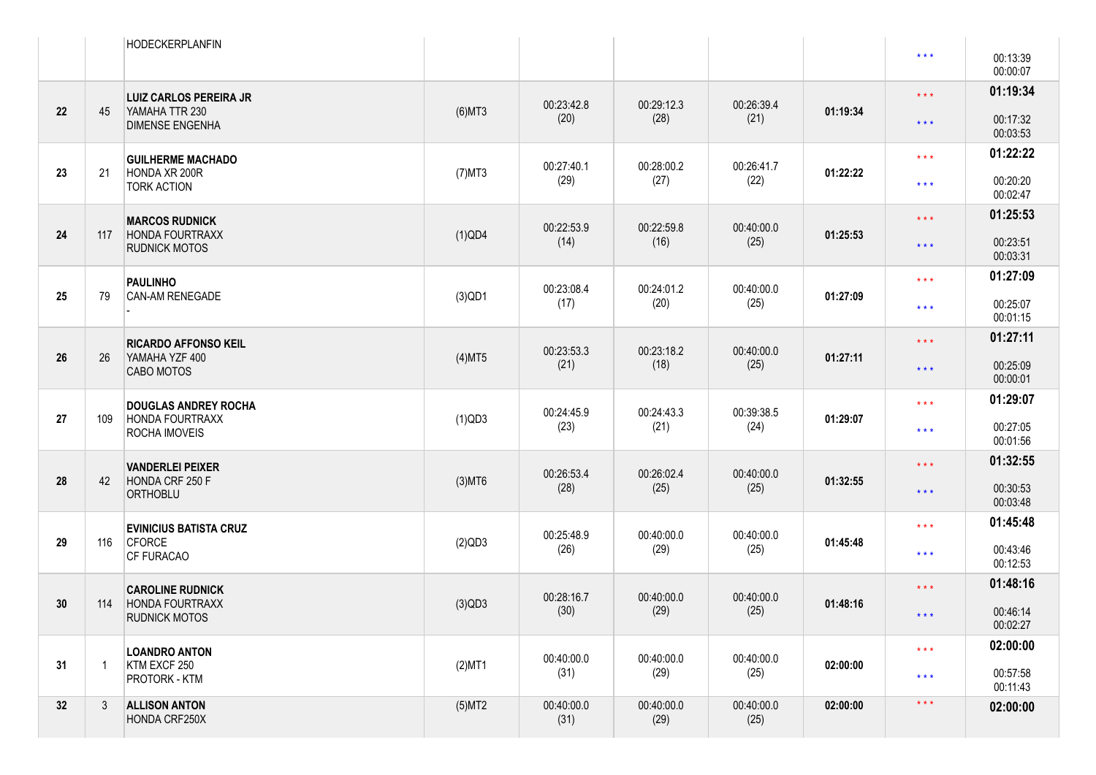|    |     | <b>HODECKERPLANFIN</b>                         |           |                    |                    |                    |          | $\star$ $\star$ $\star$ | 00:13:39<br>00:00:07 |
|----|-----|------------------------------------------------|-----------|--------------------|--------------------|--------------------|----------|-------------------------|----------------------|
|    |     | <b>LUIZ CARLOS PEREIRA JR</b>                  |           | 00:23:42.8         | 00:29:12.3         | 00:26:39.4         |          | $\star$ $\star$ $\star$ | 01:19:34             |
| 22 | 45  | YAMAHA TTR 230<br><b>DIMENSE ENGENHA</b>       | $(6)$ MT3 | (20)               | (28)               | (21)               | 01:19:34 | $\star$ $\star$ $\star$ | 00:17:32<br>00:03:53 |
|    |     | <b>GUILHERME MACHADO</b>                       |           | 00:27:40.1         | 00:28:00.2         | 00:26:41.7         |          | $\star\star\star$       | 01:22:22             |
| 23 | 21  | HONDA XR 200R<br><b>TORK ACTION</b>            | $(7)$ MT3 | (29)               | (27)               | (22)               | 01:22:22 | $\star\star\star$       | 00:20:20<br>00:02:47 |
|    |     | <b>MARCOS RUDNICK</b>                          |           | 00:22:53.9         | 00:22:59.8         | 00:40:00.0         |          | $\star\star\star$       | 01:25:53             |
| 24 | 117 | <b>HONDA FOURTRAXX</b><br><b>RUDNICK MOTOS</b> | $(1)$ QD4 | (14)               | (16)               | (25)               | 01:25:53 | $\star$ $\star$ $\star$ | 00:23:51<br>00:03:31 |
|    |     | <b>PAULINHO</b>                                |           | 00:23:08.4         | 00:24:01.2         | 00:40:00.0         |          | $\star\star\star$       | 01:27:09             |
| 25 | 79  | CAN-AM RENEGADE                                | $(3)$ QD1 | (17)               | (20)               | (25)               | 01:27:09 | $***$                   | 00:25:07<br>00:01:15 |
|    |     | <b>RICARDO AFFONSO KEIL</b>                    |           | 00:23:53.3         | 00:23:18.2         | 00:40:00.0         |          | $\star\star\star$       | 01:27:11             |
| 26 | 26  | YAMAHA YZF 400<br>CABO MOTOS                   | $(4)$ MT5 | (21)               | (18)               | (25)               | 01:27:11 | $\star$ $\star$ $\star$ | 00:25:09<br>00:00:01 |
|    |     | <b>DOUGLAS ANDREY ROCHA</b>                    |           | 00:24:45.9         | 00:24:43.3         | 00:39:38.5         |          | $\star\star\star$       | 01:29:07             |
| 27 | 109 | HONDA FOURTRAXX<br>ROCHA IMOVEIS               | $(1)$ QD3 | (23)               | (21)               | (24)               | 01:29:07 | $\star\star\star$       | 00:27:05<br>00:01:56 |
|    |     | <b>VANDERLEI PEIXER</b>                        |           | 00:26:53.4         | 00:26:02.4         | 00:40:00.0         |          | $***$                   | 01:32:55             |
| 28 | 42  | HONDA CRF 250 F<br>ORTHOBLU                    | $(3)$ MT6 | (28)               | (25)               | (25)               | 01:32:55 | $\star$ $\star$ $\star$ | 00:30:53<br>00:03:48 |
|    |     | <b>EVINICIUS BATISTA CRUZ</b>                  |           | 00:25:48.9         | 00:40:00.0         | 00:40:00.0         |          | $\star\star\star$       | 01:45:48             |
| 29 | 116 | <b>CFORCE</b><br>CF FURACAO                    | $(2)$ QD3 | (26)               | (29)               | (25)               | 01:45:48 | $\star\star\star$       | 00:43:46<br>00:12:53 |
|    |     | <b>CAROLINE RUDNICK</b>                        |           | 00:28:16.7         | 00:40:00.0         | 00:40:00.0         |          | $\star\star\star$       | 01:48:16             |
| 30 | 114 | <b>HONDA FOURTRAXX</b><br>RUDNICK MOTOS        | $(3)$ QD3 | (30)               | (29)               | (25)               | 01:48:16 | $\star$ $\star$ $\star$ | 00:46:14<br>00:02:27 |
|    |     | <b>LOANDRO ANTON</b>                           |           | 00:40:00.0         | 00:40:00.0         | 00:40:00.0         |          | $\star\star\star$       | 02:00:00             |
| 31 |     | KTM EXCF 250<br>PROTORK - KTM                  | $(2)$ MT1 | (31)               | (29)               | (25)               | 02:00:00 | $\star\star\star$       | 00:57:58<br>00:11:43 |
| 32 | 3   | <b>ALLISON ANTON</b><br>HONDA CRF250X          | $(5)$ MT2 | 00:40:00.0<br>(31) | 00:40:00.0<br>(29) | 00:40:00.0<br>(25) | 02:00:00 | $\star$ $\star$ $\star$ | 02:00:00             |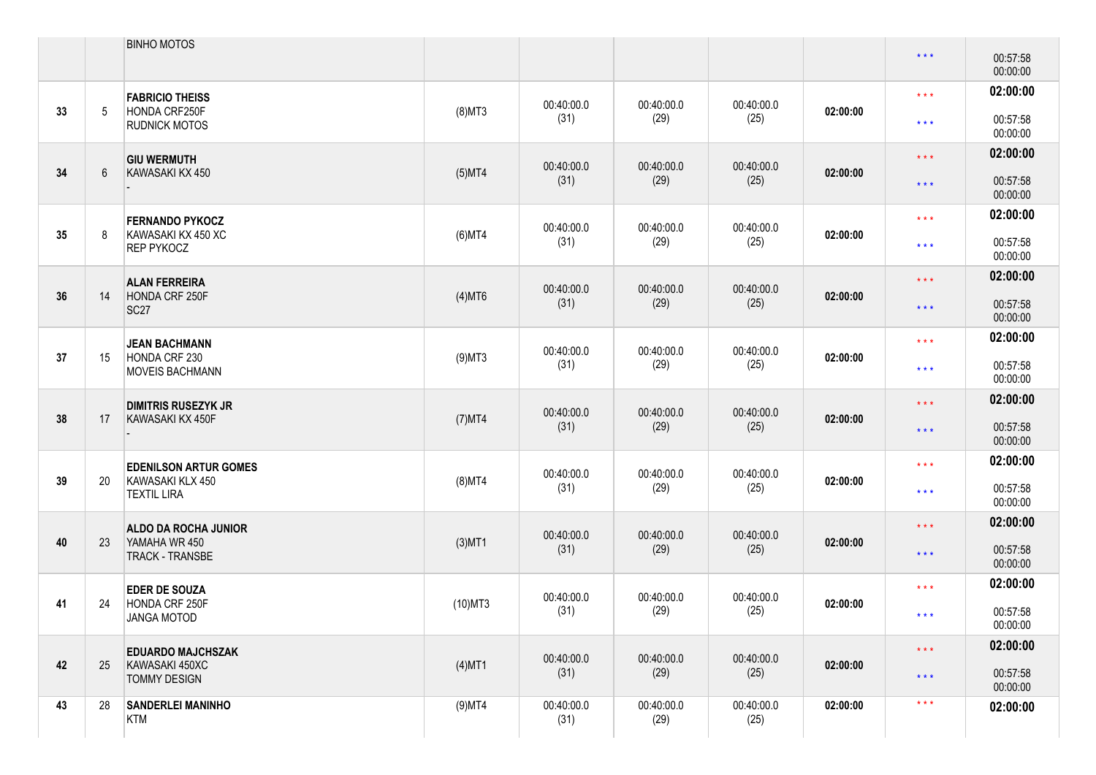|    |    | <b>BINHO MOTOS</b>                               |            |                    |                    |                    |          | $\star$ $\star$ $\star$ | 00:57:58<br>00:00:00 |
|----|----|--------------------------------------------------|------------|--------------------|--------------------|--------------------|----------|-------------------------|----------------------|
| 33 | 5  | <b>FABRICIO THEISS</b><br>HONDA CRF250F          | $(8)$ MT3  | 00:40:00.0         | 00:40:00.0         | 00:40:00.0         | 02:00:00 | $\star\star\star$       | 02:00:00             |
|    |    | <b>RUDNICK MOTOS</b>                             |            | (31)               | (29)               | (25)               |          | $\star\star\star$       | 00:57:58<br>00:00:00 |
| 34 | 6  | <b>GIU WERMUTH</b><br>KAWASAKI KX 450            | $(5)$ MT4  | 00:40:00.0         | 00:40:00.0         | 00:40:00.0         | 02:00:00 | $\star$ $\star$ $\star$ | 02:00:00             |
|    |    |                                                  |            | (31)               | (29)               | (25)               |          | $\star$ $\star$ $\star$ | 00:57:58<br>00:00:00 |
| 35 |    | <b>FERNANDO PYKOCZ</b><br>KAWASAKI KX 450 XC     | $(6)$ MT4  | 00:40:00.0         | 00:40:00.0         | 00:40:00.0         | 02:00:00 | $\star\star\star$       | 02:00:00             |
|    |    | <b>REP PYKOCZ</b>                                |            | (31)               | (29)               | (25)               |          | $\star\star\star$       | 00:57:58<br>00:00:00 |
| 36 | 14 | <b>ALAN FERREIRA</b><br>HONDA CRF 250F           | $(4)$ MT6  | 00:40:00.0         | 00:40:00.0         | 00:40:00.0         | 02:00:00 | $\star$ $\star$ $\star$ | 02:00:00             |
|    |    | SC <sub>27</sub>                                 |            | (31)               | (29)               | (25)               |          | $\star$ $\star$ $\star$ | 00:57:58<br>00:00:00 |
| 37 | 15 | <b>JEAN BACHMANN</b><br>HONDA CRF 230            | $(9)$ MT3  | 00:40:00.0         | 00:40:00.0         | 00:40:00.0         | 02:00:00 | $\star$ $\star$ $\star$ | 02:00:00             |
|    |    | <b>MOVEIS BACHMANN</b>                           |            | (31)               | (29)               | (25)               |          | $\star\star\star$       | 00:57:58<br>00:00:00 |
| 38 | 17 | <b>DIMITRIS RUSEZYK JR</b><br>KAWASAKI KX 450F   | $(7)$ MT4  | 00:40:00.0         | 00:40:00.0         | 00:40:00.0         | 02:00:00 | $\star$ $\star$ $\star$ | 02:00:00             |
|    |    |                                                  |            | (31)               | (29)               | (25)               |          | $\star$ $\star$ $\star$ | 00:57:58<br>00:00:00 |
| 39 | 20 | <b>EDENILSON ARTUR GOMES</b><br>KAWASAKI KLX 450 | $(8)$ MT4  | 00:40:00.0         | 00:40:00.0         | 00:40:00.0         | 02:00:00 | $\star\star\star$       | 02:00:00             |
|    |    | <b>TEXTIL LIRA</b>                               |            | (31)               | (29)               | (25)               |          | $\star$ $\star$ $\star$ | 00:57:58<br>00:00:00 |
|    | 23 | <b>ALDO DA ROCHA JUNIOR</b>                      | $(3)$ MT1  | 00:40:00.0         | 00:40:00.0         | 00:40:00.0         |          | $\star$ $\star$ $\star$ | 02:00:00             |
| 40 |    | YAMAHA WR 450<br><b>TRACK - TRANSBE</b>          |            | (31)               | (29)               | (25)               | 02:00:00 | $\star$ $\star$ $\star$ | 00:57:58<br>00:00:00 |
|    |    | <b>EDER DE SOUZA</b>                             |            | 00:40:00.0         | 00:40:00.0         | 00:40:00.0         |          | $\star\star\star$       | 02:00:00             |
| 41 | 24 | HONDA CRF 250F<br>JANGA MOTOD                    | $(10)$ MT3 | (31)               | (29)               | (25)               | 02:00:00 | $\star\star\star$       | 00:57:58<br>00:00:00 |
|    |    | <b>EDUARDO MAJCHSZAK</b>                         |            | 00:40:00.0         | 00:40:00.0         | 00:40:00.0         |          | $\star\star\star$       | 02:00:00             |
| 42 | 25 | KAWASAKI 450XC<br><b>TOMMY DESIGN</b>            | $(4)$ MT1  | (31)               | (29)               | (25)               | 02:00:00 | $\star$ $\star$ $\star$ | 00:57:58<br>00:00:00 |
| 43 | 28 | <b>SANDERLEI MANINHO</b><br>KTM                  | $(9)$ MT4  | 00:40:00.0<br>(31) | 00:40:00.0<br>(29) | 00:40:00.0<br>(25) | 02:00:00 | $\star$ $\star$ $\star$ | 02:00:00             |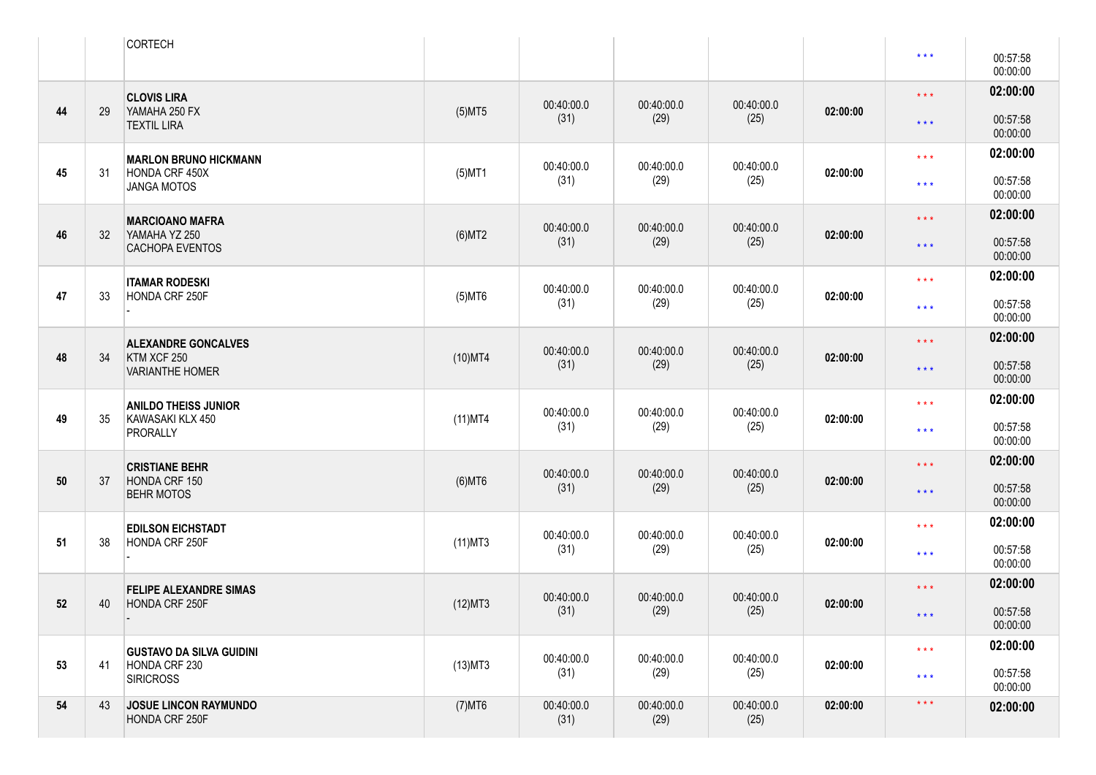|    |    | <b>CORTECH</b>                                 |            |                    |                    |                    |          | $\star\star\star$       | 00:57:58             |
|----|----|------------------------------------------------|------------|--------------------|--------------------|--------------------|----------|-------------------------|----------------------|
|    |    |                                                |            |                    |                    |                    |          |                         | 00:00:00             |
|    |    | <b>CLOVIS LIRA</b>                             |            | 00:40:00.0         | 00:40:00.0         | 00:40:00.0         |          | $***$                   | 02:00:00             |
| 44 | 29 | YAMAHA 250 FX<br><b>TEXTIL LIRA</b>            | $(5)$ MT5  | (31)               | (29)               | (25)               | 02:00:00 | $\star$ $\star$ $\star$ | 00:57:58<br>00:00:00 |
|    |    | <b>MARLON BRUNO HICKMANN</b>                   |            |                    |                    | 00:40:00.0         |          | $\star\star\star$       | 02:00:00             |
| 45 | 31 | HONDA CRF 450X<br>JANGA MOTOS                  | $(5)$ MT1  | 00:40:00.0<br>(31) | 00:40:00.0<br>(29) | (25)               | 02:00:00 | $\star\star\star$       | 00:57:58<br>00:00:00 |
|    |    | <b>MARCIOANO MAFRA</b>                         |            | 00:40:00.0         | 00:40:00.0         | 00:40:00.0         |          | $***$                   | 02:00:00             |
| 46 | 32 | YAMAHA YZ 250<br><b>CACHOPA EVENTOS</b>        | $(6)$ MT2  | (31)               | (29)               | (25)               | 02:00:00 | $***$                   | 00:57:58<br>00:00:00 |
|    |    | <b>ITAMAR RODESKI</b>                          |            | 00:40:00.0         | 00:40:00.0         | 00:40:00.0         |          | $\star\star\star$       | 02:00:00             |
| 47 | 33 | HONDA CRF 250F                                 | $(5)$ MT6  | (31)               | (29)               | (25)               | 02:00:00 | $***$                   | 00:57:58<br>00:00:00 |
|    |    | <b>ALEXANDRE GONCALVES</b>                     |            | 00:40:00.0         | 00:40:00.0         | 00:40:00.0         |          | $***$                   | 02:00:00             |
| 48 | 34 | KTM XCF 250<br><b>VARIANTHE HOMER</b>          | $(10)$ MT4 | (31)               | (29)               | (25)               | 02:00:00 | $***$                   | 00:57:58<br>00:00:00 |
|    |    | <b>ANILDO THEISS JUNIOR</b>                    |            | 00:40:00.0         | 00:40:00.0         | 00:40:00.0         |          | $\star\star\star$       | 02:00:00             |
| 49 | 35 | KAWASAKI KLX 450<br><b>PRORALLY</b>            | $(11)$ MT4 | (31)               | (29)               | (25)               | 02:00:00 | $\star\star\star$       | 00:57:58<br>00:00:00 |
|    |    | <b>CRISTIANE BEHR</b>                          |            | 00:40:00.0         | 00:40:00.0         | 00:40:00.0         |          | $***$                   | 02:00:00             |
| 50 | 37 | HONDA CRF 150<br><b>BEHR MOTOS</b>             | $(6)$ MT6  | (31)               | (29)               | (25)               | 02:00:00 | $***$                   | 00:57:58<br>00:00:00 |
|    |    | <b>EDILSON EICHSTADT</b>                       |            | 00:40:00.0         | 00:40:00.0         | 00:40:00.0         |          | $\star\star\star$       | 02:00:00             |
| 51 | 38 | HONDA CRF 250F                                 | $(11)$ MT3 | (31)               | (29)               | (25)               | 02:00:00 | $***$                   | 00:57:58<br>00:00:00 |
|    |    | <b>FELIPE ALEXANDRE SIMAS</b>                  |            | 00:40:00.0         | 00:40:00.0         | 00:40:00.0         |          | $***$                   | 02:00:00             |
| 52 | 40 | <b>HONDA CRF 250F</b>                          | (12)MT3    | (31)               | (29)               | (25)               | 02:00:00 | $***$                   | 00:57:58<br>00:00:00 |
|    |    | <b>GUSTAVO DA SILVA GUIDINI</b>                |            | 00:40:00.0         | 00:40:00.0         | 00:40:00.0         |          | $\star\star\star$       | 02:00:00             |
| 53 | 41 | HONDA CRF 230<br><b>SIRICROSS</b>              | $(13)$ MT3 | (31)               | (29)               | (25)               | 02:00:00 | $***$                   | 00:57:58<br>00:00:00 |
| 54 | 43 | <b>JOSUE LINCON RAYMUNDO</b><br>HONDA CRF 250F | $(7)$ MT6  | 00:40:00.0<br>(31) | 00:40:00.0<br>(29) | 00:40:00.0<br>(25) | 02:00:00 | $\star\star\star$       | 02:00:00             |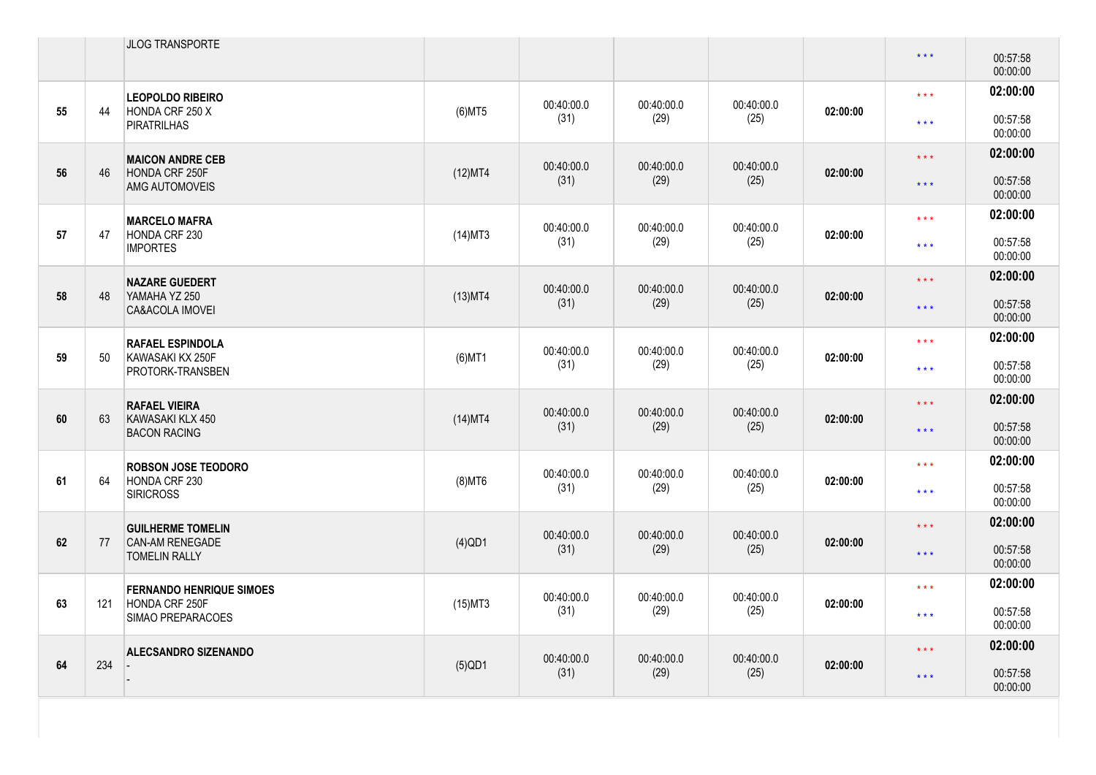|    |     | JLOG TRANSPORTE                                |            |            |            |            |          | $\star$ $\star$ $\star$ | 00:57:58<br>00:00:00 |
|----|-----|------------------------------------------------|------------|------------|------------|------------|----------|-------------------------|----------------------|
|    | 44  | <b>LEOPOLDO RIBEIRO</b><br>HONDA CRF 250 X     |            | 00:40:00.0 | 00:40:00.0 | 00:40:00.0 |          | $***$                   | 02:00:00             |
| 55 |     | <b>PIRATRILHAS</b>                             | $(6)$ MT5  | (31)       | (29)       | (25)       | 02:00:00 | $***$                   | 00:57:58<br>00:00:00 |
|    |     | <b>MAICON ANDRE CEB</b>                        |            | 00:40:00.0 | 00:40:00.0 | 00:40:00.0 |          | $***$                   | 02:00:00             |
| 56 | 46  | HONDA CRF 250F<br>AMG AUTOMOVEIS               | (12)MT4    | (31)       | (29)       | (25)       | 02:00:00 | $\star$ $\star$ $\star$ | 00:57:58<br>00:00:00 |
|    |     | <b>MARCELO MAFRA</b>                           |            | 00:40:00.0 | 00:40:00.0 | 00:40:00.0 |          | $***$                   | 02:00:00             |
| 57 | 47  | HONDA CRF 230<br><b>IMPORTES</b>               | $(14)$ MT3 | (31)       | (29)       | (25)       | 02:00:00 | $\star\star\star$       | 00:57:58<br>00:00:00 |
|    |     | <b>NAZARE GUEDERT</b>                          |            | 00:40:00.0 | 00:40:00.0 | 00:40:00.0 |          | $***$                   | 02:00:00             |
| 58 | 48  | YAMAHA YZ 250<br><b>CA&amp;ACOLA IMOVEI</b>    | $(13)$ MT4 | (31)       | (29)       | (25)       | 02:00:00 | $\star$ $\star$ $\star$ | 00:57:58<br>00:00:00 |
|    |     | <b>RAFAEL ESPINDOLA</b>                        |            | 00:40:00.0 | 00:40:00.0 | 00:40:00.0 |          | $***$                   | 02:00:00             |
| 59 | 50  | KAWASAKI KX 250F<br>PROTORK-TRANSBEN           | $(6)$ MT1  | (31)       | (29)       | (25)       | 02:00:00 | $\star\star\star$       | 00:57:58<br>00:00:00 |
|    |     | <b>RAFAEL VIEIRA</b>                           |            | 00:40:00.0 | 00:40:00.0 | 00:40:00.0 |          | $***$                   | 02:00:00             |
| 60 | 63  | KAWASAKI KLX 450<br><b>BACON RACING</b>        | $(14)$ MT4 | (31)       | (29)       | (25)       | 02:00:00 | $***$                   | 00:57:58<br>00:00:00 |
|    |     | <b>ROBSON JOSE TEODORO</b>                     |            | 00:40:00.0 | 00:40:00.0 | 00:40:00.0 |          | $***$                   | 02:00:00             |
| 61 | 64  | HONDA CRF 230<br><b>SIRICROSS</b>              | $(8)$ MT6  | (31)       | (29)       | (25)       | 02:00:00 | $***$                   | 00:57:58<br>00:00:00 |
|    |     | <b>GUILHERME TOMELIN</b>                       |            | 00:40:00.0 | 00:40:00.0 | 00:40:00.0 |          | $***$                   | 02:00:00             |
| 62 | 77  | <b>CAN-AM RENEGADE</b><br><b>TOMELIN RALLY</b> | $(4)$ QD1  | (31)       | (29)       | (25)       | 02:00:00 | $***$                   | 00:57:58<br>00:00:00 |
|    |     | <b>FERNANDO HENRIQUE SIMOES</b>                |            | 00:40:00.0 | 00:40:00.0 | 00:40:00.0 |          | $***$                   | 02:00:00             |
| 63 | 121 | HONDA CRF 250F<br>SIMAO PREPARACOES            | $(15)$ MT3 | (31)       | (29)       | (25)       | 02:00:00 | $***$                   | 00:57:58<br>00:00:00 |
|    |     | <b>ALECSANDRO SIZENANDO</b>                    |            | 00:40:00.0 | 00:40:00.0 | 00:40:00.0 |          | $***$                   | 02:00:00             |
| 64 | 234 |                                                | $(5)$ QD1  | (31)       | (29)       | (25)       | 02:00:00 | $\star$ $\star$ $\star$ | 00:57:58<br>00:00:00 |